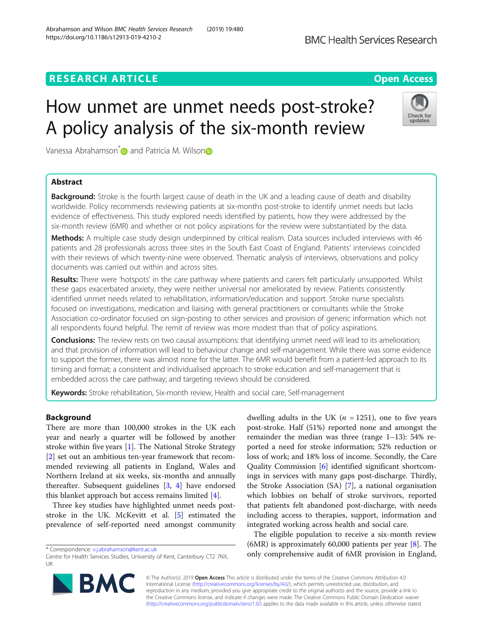# **RESEARCH ARTICLE Example 2014 12:30 The Contract of Contract ACCESS**

# How unmet are unmet needs post-stroke? A policy analysis of the six-month review

Va[n](http://orcid.org/0000-0002-5787-9736)essa Abrahamson<sup>\*</sup> and Patricia M. Wilson<sup>®</sup>

# Abstract

**Background:** Stroke is the fourth largest cause of death in the UK and a leading cause of death and disability worldwide. Policy recommends reviewing patients at six-months post-stroke to identify unmet needs but lacks evidence of effectiveness. This study explored needs identified by patients, how they were addressed by the six-month review (6MR) and whether or not policy aspirations for the review were substantiated by the data.

Methods: A multiple case study design underpinned by critical realism. Data sources included interviews with 46 patients and 28 professionals across three sites in the South East Coast of England. Patients' interviews coincided with their reviews of which twenty-nine were observed. Thematic analysis of interviews, observations and policy documents was carried out within and across sites.

Results: There were 'hotspots' in the care pathway where patients and carers felt particularly unsupported. Whilst these gaps exacerbated anxiety, they were neither universal nor ameliorated by review. Patients consistently identified unmet needs related to rehabilitation, information/education and support. Stroke nurse specialists focused on investigations, medication and liaising with general practitioners or consultants while the Stroke Association co-ordinator focused on sign-posting to other services and provision of generic information which not all respondents found helpful. The remit of review was more modest than that of policy aspirations.

Conclusions: The review rests on two causal assumptions: that identifying unmet need will lead to its amelioration; and that provision of information will lead to behaviour change and self-management. While there was some evidence to support the former, there was almost none for the latter. The 6MR would benefit from a patient-led approach to its timing and format; a consistent and individualised approach to stroke education and self-management that is embedded across the care pathway; and targeting reviews should be considered.

Keywords: Stroke rehabilitation, Six-month review, Health and social care, Self-management

# Background

There are more than 100,000 strokes in the UK each year and nearly a quarter will be followed by another stroke within five years [\[1](#page-8-0)]. The National Stroke Strategy [[2\]](#page-8-0) set out an ambitious ten-year framework that recommended reviewing all patients in England, Wales and Northern Ireland at six weeks, six-months and annually thereafter. Subsequent guidelines [[3,](#page-8-0) [4\]](#page-8-0) have endorsed this blanket approach but access remains limited [[4\]](#page-8-0).

Three key studies have highlighted unmet needs poststroke in the UK. McKevitt et al. [\[5](#page-8-0)] estimated the prevalence of self-reported need amongst community

\* Correspondence: [v.j.abrahamson@kent.ac.uk](mailto:v.j.abrahamson@kent.ac.uk)

© The Author(s). 2019 **Open Access** This article is distributed under the terms of the Creative Commons Attribution 4.0 International License [\(http://creativecommons.org/licenses/by/4.0/](http://creativecommons.org/licenses/by/4.0/)), which permits unrestricted use, distribution, and reproduction in any medium, provided you give appropriate credit to the original author(s) and the source, provide a link to the Creative Commons license, and indicate if changes were made. The Creative Commons Public Domain Dedication waiver [\(http://creativecommons.org/publicdomain/zero/1.0/](http://creativecommons.org/publicdomain/zero/1.0/)) applies to the data made available in this article, unless otherwise stated.

post-stroke. Half (51%) reported none and amongst the remainder the median was three (range 1–13): 54% reported a need for stroke information; 52% reduction or loss of work; and 18% loss of income. Secondly, the Care Quality Commission [[6\]](#page-8-0) identified significant shortcomings in services with many gaps post-discharge. Thirdly, the Stroke Association (SA) [[7\]](#page-8-0), a national organisation which lobbies on behalf of stroke survivors, reported that patients felt abandoned post-discharge, with needs including access to therapies, support, information and integrated working across health and social care.

dwelling adults in the UK ( $n = 1251$ ), one to five years

The eligible population to receive a six-month review (6MR) is approximately 60,000 patients per year  $[8]$  $[8]$ . The only comprehensive audit of 6MR provision in England,





Centre for Health Services Studies, University of Kent, Canterbury CT2 7NX, UK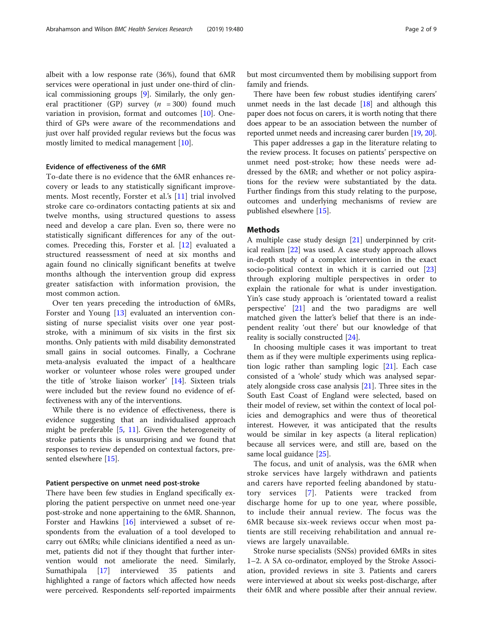albeit with a low response rate (36%), found that 6MR services were operational in just under one-third of clinical commissioning groups [\[9](#page-8-0)]. Similarly, the only general practitioner (GP) survey ( $n = 300$ ) found much variation in provision, format and outcomes [\[10](#page-8-0)]. Onethird of GPs were aware of the recommendations and just over half provided regular reviews but the focus was mostly limited to medical management [\[10\]](#page-8-0).

# Evidence of effectiveness of the 6MR

To-date there is no evidence that the 6MR enhances recovery or leads to any statistically significant improvements. Most recently, Forster et al.'s [\[11](#page-8-0)] trial involved stroke care co-ordinators contacting patients at six and twelve months, using structured questions to assess need and develop a care plan. Even so, there were no statistically significant differences for any of the outcomes. Preceding this, Forster et al. [[12\]](#page-8-0) evaluated a structured reassessment of need at six months and again found no clinically significant benefits at twelve months although the intervention group did express greater satisfaction with information provision, the most common action.

Over ten years preceding the introduction of 6MRs, Forster and Young [\[13](#page-8-0)] evaluated an intervention consisting of nurse specialist visits over one year poststroke, with a minimum of six visits in the first six months. Only patients with mild disability demonstrated small gains in social outcomes. Finally, a Cochrane meta-analysis evaluated the impact of a healthcare worker or volunteer whose roles were grouped under the title of 'stroke liaison worker' [\[14](#page-8-0)]. Sixteen trials were included but the review found no evidence of effectiveness with any of the interventions.

While there is no evidence of effectiveness, there is evidence suggesting that an individualised approach might be preferable [[5,](#page-8-0) [11\]](#page-8-0). Given the heterogeneity of stroke patients this is unsurprising and we found that responses to review depended on contextual factors, presented elsewhere [[15\]](#page-8-0).

#### Patient perspective on unmet need post-stroke

There have been few studies in England specifically exploring the patient perspective on unmet need one-year post-stroke and none appertaining to the 6MR. Shannon, Forster and Hawkins [[16\]](#page-8-0) interviewed a subset of respondents from the evaluation of a tool developed to carry out 6MRs; while clinicians identified a need as unmet, patients did not if they thought that further intervention would not ameliorate the need. Similarly, Sumathipala [[17\]](#page-8-0) interviewed 35 patients and highlighted a range of factors which affected how needs were perceived. Respondents self-reported impairments

but most circumvented them by mobilising support from family and friends.

There have been few robust studies identifying carers' unmet needs in the last decade  $[18]$  and although this paper does not focus on carers, it is worth noting that there does appear to be an association between the number of reported unmet needs and increasing carer burden [[19](#page-8-0), [20](#page-8-0)].

This paper addresses a gap in the literature relating to the review process. It focuses on patients' perspective on unmet need post-stroke; how these needs were addressed by the 6MR; and whether or not policy aspirations for the review were substantiated by the data. Further findings from this study relating to the purpose, outcomes and underlying mechanisms of review are published elsewhere [\[15\]](#page-8-0).

### **Methods**

A multiple case study design [\[21](#page-8-0)] underpinned by critical realism [[22\]](#page-8-0) was used. A case study approach allows in-depth study of a complex intervention in the exact socio-political context in which it is carried out [[23](#page-8-0)] through exploring multiple perspectives in order to explain the rationale for what is under investigation. Yin's case study approach is 'orientated toward a realist perspective' [[21](#page-8-0)] and the two paradigms are well matched given the latter's belief that there is an independent reality 'out there' but our knowledge of that reality is socially constructed [[24\]](#page-8-0).

In choosing multiple cases it was important to treat them as if they were multiple experiments using replication logic rather than sampling logic [[21](#page-8-0)]. Each case consisted of a 'whole' study which was analysed separately alongside cross case analysis [[21\]](#page-8-0). Three sites in the South East Coast of England were selected, based on their model of review, set within the context of local policies and demographics and were thus of theoretical interest. However, it was anticipated that the results would be similar in key aspects (a literal replication) because all services were, and still are, based on the same local guidance [[25\]](#page-8-0).

The focus, and unit of analysis, was the 6MR when stroke services have largely withdrawn and patients and carers have reported feeling abandoned by statutory services [[7\]](#page-8-0). Patients were tracked from discharge home for up to one year, where possible, to include their annual review. The focus was the 6MR because six-week reviews occur when most patients are still receiving rehabilitation and annual reviews are largely unavailable.

Stroke nurse specialists (SNSs) provided 6MRs in sites 1–2. A SA co-ordinator, employed by the Stroke Association, provided reviews in site 3. Patients and carers were interviewed at about six weeks post-discharge, after their 6MR and where possible after their annual review.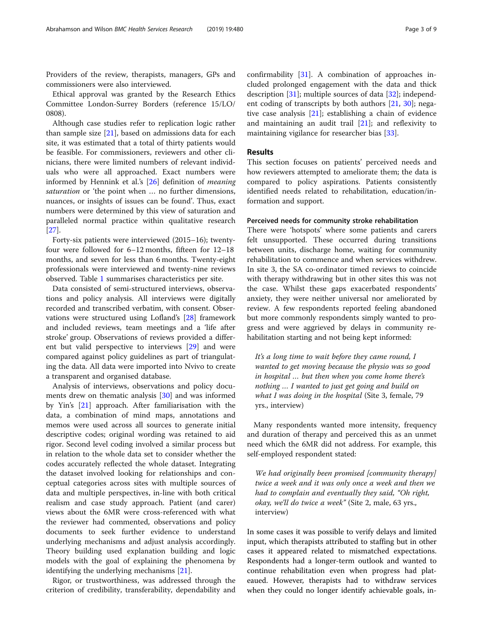Providers of the review, therapists, managers, GPs and commissioners were also interviewed.

Ethical approval was granted by the Research Ethics Committee London-Surrey Borders (reference 15/LO/ 0808).

Although case studies refer to replication logic rather than sample size  $[21]$ , based on admissions data for each site, it was estimated that a total of thirty patients would be feasible. For commissioners, reviewers and other clinicians, there were limited numbers of relevant individuals who were all approached. Exact numbers were informed by Hennink et al.'s [[26\]](#page-8-0) definition of meaning saturation or 'the point when ... no further dimensions, nuances, or insights of issues can be found'. Thus, exact numbers were determined by this view of saturation and paralleled normal practice within qualitative research [[27\]](#page-8-0).

Forty-six patients were interviewed (2015–16); twentyfour were followed for 6–12 months, fifteen for 12–18 months, and seven for less than 6 months. Twenty-eight professionals were interviewed and twenty-nine reviews observed. Table [1](#page-3-0) summarises characteristics per site.

Data consisted of semi-structured interviews, observations and policy analysis. All interviews were digitally recorded and transcribed verbatim, with consent. Observations were structured using Lofland's [\[28](#page-8-0)] framework and included reviews, team meetings and a 'life after stroke' group. Observations of reviews provided a different but valid perspective to interviews [[29\]](#page-8-0) and were compared against policy guidelines as part of triangulating the data. All data were imported into Nvivo to create a transparent and organised database.

Analysis of interviews, observations and policy documents drew on thematic analysis [[30](#page-8-0)] and was informed by Yin's [[21\]](#page-8-0) approach. After familiarisation with the data, a combination of mind maps, annotations and memos were used across all sources to generate initial descriptive codes; original wording was retained to aid rigor. Second level coding involved a similar process but in relation to the whole data set to consider whether the codes accurately reflected the whole dataset. Integrating the dataset involved looking for relationships and conceptual categories across sites with multiple sources of data and multiple perspectives, in-line with both critical realism and case study approach. Patient (and carer) views about the 6MR were cross-referenced with what the reviewer had commented, observations and policy documents to seek further evidence to understand underlying mechanisms and adjust analysis accordingly. Theory building used explanation building and logic models with the goal of explaining the phenomena by identifying the underlying mechanisms [[21\]](#page-8-0).

Rigor, or trustworthiness, was addressed through the criterion of credibility, transferability, dependability and

confirmability [[31](#page-8-0)]. A combination of approaches included prolonged engagement with the data and thick description [\[31](#page-8-0)]; multiple sources of data [\[32\]](#page-8-0); independent coding of transcripts by both authors [\[21](#page-8-0), [30](#page-8-0)]; negative case analysis [\[21\]](#page-8-0); establishing a chain of evidence and maintaining an audit trail [[21](#page-8-0)]; and reflexivity to maintaining vigilance for researcher bias [[33\]](#page-8-0).

#### Results

This section focuses on patients' perceived needs and how reviewers attempted to ameliorate them; the data is compared to policy aspirations. Patients consistently identified needs related to rehabilitation, education/information and support.

#### Perceived needs for community stroke rehabilitation

There were 'hotspots' where some patients and carers felt unsupported. These occurred during transitions between units, discharge home, waiting for community rehabilitation to commence and when services withdrew. In site 3, the SA co-ordinator timed reviews to coincide with therapy withdrawing but in other sites this was not the case. Whilst these gaps exacerbated respondents' anxiety, they were neither universal nor ameliorated by review. A few respondents reported feeling abandoned but more commonly respondents simply wanted to progress and were aggrieved by delays in community rehabilitation starting and not being kept informed:

It's a long time to wait before they came round, I wanted to get moving because the physio was so good in hospital … but then when you come home there's nothing … I wanted to just get going and build on what I was doing in the hospital (Site 3, female, 79 yrs., interview)

Many respondents wanted more intensity, frequency and duration of therapy and perceived this as an unmet need which the 6MR did not address. For example, this self-employed respondent stated:

We had originally been promised [community therapy] twice a week and it was only once a week and then we had to complain and eventually they said, "Oh right, okay, we'll do twice a week" (Site 2, male, 63 yrs., interview)

In some cases it was possible to verify delays and limited input, which therapists attributed to staffing but in other cases it appeared related to mismatched expectations. Respondents had a longer-term outlook and wanted to continue rehabilitation even when progress had plateaued. However, therapists had to withdraw services when they could no longer identify achievable goals, in-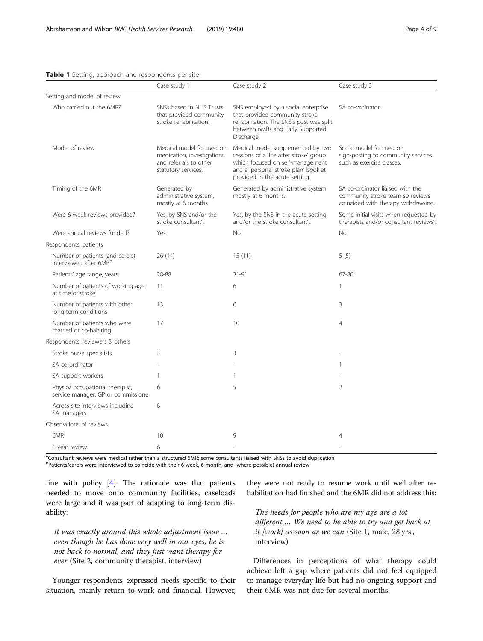## <span id="page-3-0"></span>Table 1 Setting, approach and respondents per site

|                                                                        | Case study 1                                                                                            | Case study 2                                                                                                                                                                               | Case study 3                                                                                                |
|------------------------------------------------------------------------|---------------------------------------------------------------------------------------------------------|--------------------------------------------------------------------------------------------------------------------------------------------------------------------------------------------|-------------------------------------------------------------------------------------------------------------|
| Setting and model of review                                            |                                                                                                         |                                                                                                                                                                                            |                                                                                                             |
| Who carried out the 6MR?                                               | SNSs based in NHS Trusts<br>that provided community<br>stroke rehabilitation.                           | SNS employed by a social enterprise<br>that provided community stroke<br>rehabilitation. The SNS's post was split<br>between 6MRs and Early Supported<br>Discharge.                        | SA co-ordinator.                                                                                            |
| Model of review                                                        | Medical model focused on<br>medication, investigations<br>and referrals to other<br>statutory services. | Medical model supplemented by two<br>sessions of a 'life after stroke' group<br>which focused on self-management<br>and a 'personal stroke plan' booklet<br>provided in the acute setting. | Social model focused on<br>sign-posting to community services<br>such as exercise classes.                  |
| Timing of the 6MR                                                      | Generated by<br>administrative system,<br>mostly at 6 months.                                           | Generated by administrative system,<br>mostly at 6 months.                                                                                                                                 | SA co-ordinator liaised with the<br>community stroke team so reviews<br>coincided with therapy withdrawing. |
| Were 6 week reviews provided?                                          | Yes, by SNS and/or the<br>stroke consultant <sup>a</sup> .                                              | Yes, by the SNS in the acute setting<br>and/or the stroke consultant <sup>a</sup> .                                                                                                        | Some initial visits when requested by<br>therapists and/or consultant reviews <sup>a</sup> .                |
| Were annual reviews funded?                                            | Yes                                                                                                     | <b>No</b>                                                                                                                                                                                  | <b>No</b>                                                                                                   |
| Respondents: patients                                                  |                                                                                                         |                                                                                                                                                                                            |                                                                                                             |
| Number of patients (and carers)<br>interviewed after 6MR <sup>b</sup>  | 26 (14)                                                                                                 | 15(11)                                                                                                                                                                                     | 5(5)                                                                                                        |
| Patients' age range, years.                                            | 28-88                                                                                                   | 31-91                                                                                                                                                                                      | $67 - 80$                                                                                                   |
| Number of patients of working age<br>at time of stroke                 | 11                                                                                                      | 6                                                                                                                                                                                          | $\mathbf{1}$                                                                                                |
| Number of patients with other<br>long-term conditions                  | 13                                                                                                      | 6                                                                                                                                                                                          | 3                                                                                                           |
| Number of patients who were<br>married or co-habiting                  | 17                                                                                                      | 10                                                                                                                                                                                         | $\overline{4}$                                                                                              |
| Respondents: reviewers & others                                        |                                                                                                         |                                                                                                                                                                                            |                                                                                                             |
| Stroke nurse specialists                                               | 3                                                                                                       | 3                                                                                                                                                                                          |                                                                                                             |
| SA co-ordinator                                                        |                                                                                                         |                                                                                                                                                                                            | $\mathbf{1}$                                                                                                |
| SA support workers                                                     | 1                                                                                                       | 1                                                                                                                                                                                          |                                                                                                             |
| Physio/ occupational therapist,<br>service manager, GP or commissioner | 6                                                                                                       | 5                                                                                                                                                                                          | $\overline{2}$                                                                                              |
| Across site interviews including<br>SA managers                        | 6                                                                                                       |                                                                                                                                                                                            |                                                                                                             |
| Observations of reviews                                                |                                                                                                         |                                                                                                                                                                                            |                                                                                                             |
| 6MR                                                                    | 10                                                                                                      | 9                                                                                                                                                                                          | 4                                                                                                           |
| 1 year review                                                          | 6                                                                                                       |                                                                                                                                                                                            |                                                                                                             |

<sup>a</sup>Consultant reviews were medical rather than a structured 6MR; some consultants liaised with SNSs to avoid duplication b Patients/carers were interviewed to coincide with their 6 week, 6 month, and (where possible) annual review

line with policy [[4\]](#page-8-0). The rationale was that patients needed to move onto community facilities, caseloads were large and it was part of adapting to long-term disability:

It was exactly around this whole adjustment issue … even though he has done very well in our eyes, he is not back to normal, and they just want therapy for ever (Site 2, community therapist, interview)

Younger respondents expressed needs specific to their situation, mainly return to work and financial. However,

they were not ready to resume work until well after rehabilitation had finished and the 6MR did not address this:

The needs for people who are my age are a lot different … We need to be able to try and get back at it [work] as soon as we can (Site 1, male, 28 yrs., interview)

Differences in perceptions of what therapy could achieve left a gap where patients did not feel equipped to manage everyday life but had no ongoing support and their 6MR was not due for several months.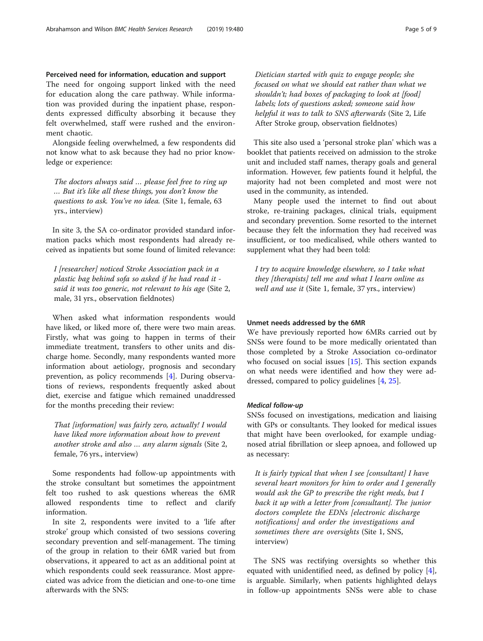# Perceived need for information, education and support

The need for ongoing support linked with the need for education along the care pathway. While information was provided during the inpatient phase, respondents expressed difficulty absorbing it because they felt overwhelmed, staff were rushed and the environment chaotic.

Alongside feeling overwhelmed, a few respondents did not know what to ask because they had no prior knowledge or experience:

The doctors always said … please feel free to ring up … But it's like all these things, you don't know the questions to ask. You've no idea. (Site 1, female, 63 yrs., interview)

In site 3, the SA co-ordinator provided standard information packs which most respondents had already received as inpatients but some found of limited relevance:

I [researcher] noticed Stroke Association pack in a plastic bag behind sofa so asked if he had read it said it was too generic, not relevant to his age (Site 2, male, 31 yrs., observation fieldnotes)

When asked what information respondents would have liked, or liked more of, there were two main areas. Firstly, what was going to happen in terms of their immediate treatment, transfers to other units and discharge home. Secondly, many respondents wanted more information about aetiology, prognosis and secondary prevention, as policy recommends [\[4](#page-8-0)]. During observations of reviews, respondents frequently asked about diet, exercise and fatigue which remained unaddressed for the months preceding their review:

That [information] was fairly zero, actually! I would have liked more information about how to prevent another stroke and also … any alarm signals (Site 2, female, 76 yrs., interview)

Some respondents had follow-up appointments with the stroke consultant but sometimes the appointment felt too rushed to ask questions whereas the 6MR allowed respondents time to reflect and clarify information.

In site 2, respondents were invited to a 'life after stroke' group which consisted of two sessions covering secondary prevention and self-management. The timing of the group in relation to their 6MR varied but from observations, it appeared to act as an additional point at which respondents could seek reassurance. Most appreciated was advice from the dietician and one-to-one time afterwards with the SNS:

Dietician started with quiz to engage people; she focused on what we should eat rather than what we shouldn't; had boxes of packaging to look at [food] labels; lots of questions asked; someone said how helpful it was to talk to SNS afterwards (Site 2, Life After Stroke group, observation fieldnotes)

This site also used a 'personal stroke plan' which was a booklet that patients received on admission to the stroke unit and included staff names, therapy goals and general information. However, few patients found it helpful, the majority had not been completed and most were not used in the community, as intended.

Many people used the internet to find out about stroke, re-training packages, clinical trials, equipment and secondary prevention. Some resorted to the internet because they felt the information they had received was insufficient, or too medicalised, while others wanted to supplement what they had been told:

I try to acquire knowledge elsewhere, so I take what they [therapists] tell me and what  $I$  learn online as well and use it (Site 1, female, 37 yrs., interview)

# Unmet needs addressed by the 6MR

We have previously reported how 6MRs carried out by SNSs were found to be more medically orientated than those completed by a Stroke Association co-ordinator who focused on social issues [[15\]](#page-8-0). This section expands on what needs were identified and how they were addressed, compared to policy guidelines [\[4](#page-8-0), [25](#page-8-0)].

#### Medical follow-up

SNSs focused on investigations, medication and liaising with GPs or consultants. They looked for medical issues that might have been overlooked, for example undiagnosed atrial fibrillation or sleep apnoea, and followed up as necessary:

It is fairly typical that when  $I$  see [consultant] I have several heart monitors for him to order and I generally would ask the GP to prescribe the right meds, but I back it up with a letter from [consultant]. The junior doctors complete the EDNs [electronic discharge notifications] and order the investigations and sometimes there are oversights (Site 1, SNS, interview)

The SNS was rectifying oversights so whether this equated with unidentified need, as defined by policy [\[4](#page-8-0)], is arguable. Similarly, when patients highlighted delays in follow-up appointments SNSs were able to chase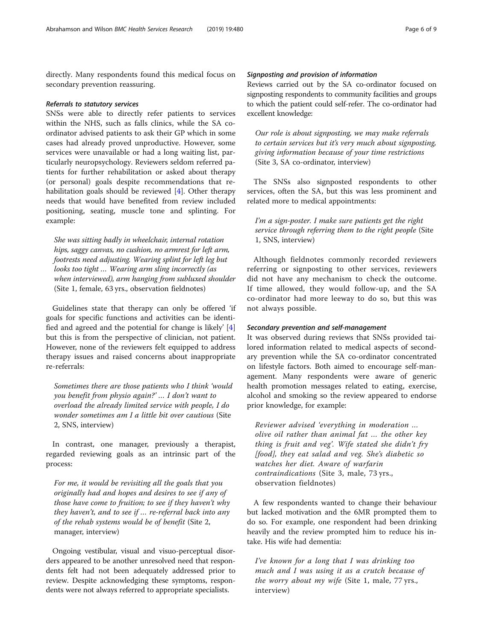directly. Many respondents found this medical focus on secondary prevention reassuring.

#### Referrals to statutory services

SNSs were able to directly refer patients to services within the NHS, such as falls clinics, while the SA coordinator advised patients to ask their GP which in some cases had already proved unproductive. However, some services were unavailable or had a long waiting list, particularly neuropsychology. Reviewers seldom referred patients for further rehabilitation or asked about therapy (or personal) goals despite recommendations that rehabilitation goals should be reviewed [\[4](#page-8-0)]. Other therapy needs that would have benefited from review included positioning, seating, muscle tone and splinting. For example:

She was sitting badly in wheelchair, internal rotation hips, saggy canvas, no cushion, no armrest for left arm, footrests need adjusting. Wearing splint for left leg but looks too tight … Wearing arm sling incorrectly (as when interviewed), arm hanging from subluxed shoulder (Site 1, female, 63 yrs., observation fieldnotes)

Guidelines state that therapy can only be offered 'if goals for specific functions and activities can be identified and agreed and the potential for change is likely' [\[4](#page-8-0)] but this is from the perspective of clinician, not patient. However, none of the reviewers felt equipped to address therapy issues and raised concerns about inappropriate re-referrals:

Sometimes there are those patients who I think 'would you benefit from physio again?' … I don't want to overload the already limited service with people, I do wonder sometimes am I a little bit over cautious (Site 2, SNS, interview)

In contrast, one manager, previously a therapist, regarded reviewing goals as an intrinsic part of the process:

For me, it would be revisiting all the goals that you originally had and hopes and desires to see if any of those have come to fruition; to see if they haven't why they haven't, and to see if … re-referral back into any of the rehab systems would be of benefit (Site 2, manager, interview)

Ongoing vestibular, visual and visuo-perceptual disorders appeared to be another unresolved need that respondents felt had not been adequately addressed prior to review. Despite acknowledging these symptoms, respondents were not always referred to appropriate specialists.

# Signposting and provision of information

Reviews carried out by the SA co-ordinator focused on signposting respondents to community facilities and groups to which the patient could self-refer. The co-ordinator had excellent knowledge:

Our role is about signposting, we may make referrals to certain services but it's very much about signposting, giving information because of your time restrictions (Site 3, SA co-ordinator, interview)

The SNSs also signposted respondents to other services, often the SA, but this was less prominent and related more to medical appointments:

I'm a sign-poster. I make sure patients get the right service through referring them to the right people (Site 1, SNS, interview)

Although fieldnotes commonly recorded reviewers referring or signposting to other services, reviewers did not have any mechanism to check the outcome. If time allowed, they would follow-up, and the SA co-ordinator had more leeway to do so, but this was not always possible.

#### Secondary prevention and self-management

It was observed during reviews that SNSs provided tailored information related to medical aspects of secondary prevention while the SA co-ordinator concentrated on lifestyle factors. Both aimed to encourage self-management. Many respondents were aware of generic health promotion messages related to eating, exercise, alcohol and smoking so the review appeared to endorse prior knowledge, for example:

Reviewer advised 'everything in moderation … olive oil rather than animal fat … the other key thing is fruit and veg'. Wife stated she didn't fry  $[food]$ , they eat salad and veg. She's diabetic so watches her diet. Aware of warfarin contraindications (Site 3, male, 73 yrs., observation fieldnotes)

A few respondents wanted to change their behaviour but lacked motivation and the 6MR prompted them to do so. For example, one respondent had been drinking heavily and the review prompted him to reduce his intake. His wife had dementia:

I've known for a long that I was drinking too much and I was using it as a crutch because of the worry about my wife (Site 1, male, 77 yrs., interview)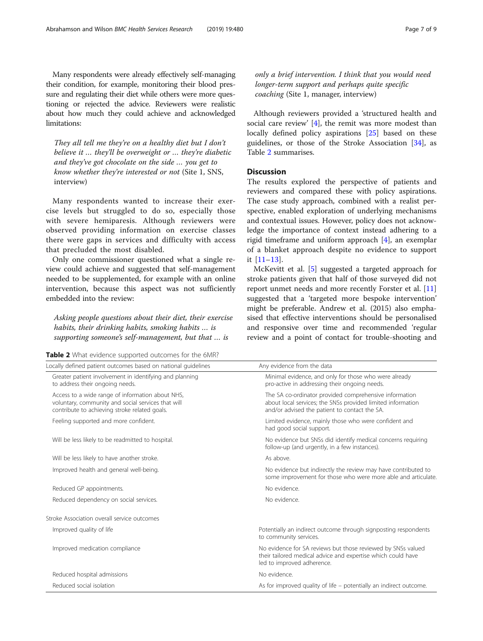Many respondents were already effectively self-managing their condition, for example, monitoring their blood pressure and regulating their diet while others were more questioning or rejected the advice. Reviewers were realistic about how much they could achieve and acknowledged limitations:

They all tell me they're on a healthy diet but I don't believe it … they'll be overweight or … they're diabetic and they've got chocolate on the side … you get to know whether they're interested or not (Site 1, SNS, interview)

Many respondents wanted to increase their exercise levels but struggled to do so, especially those with severe hemiparesis. Although reviewers were observed providing information on exercise classes there were gaps in services and difficulty with access that precluded the most disabled.

Only one commissioner questioned what a single review could achieve and suggested that self-management needed to be supplemented, for example with an online intervention, because this aspect was not sufficiently embedded into the review:

Asking people questions about their diet, their exercise habits, their drinking habits, smoking habits … is supporting someone's self-management, but that … is

| Table 2 What evidence supported outcomes for the 6MR? |  |
|-------------------------------------------------------|--|
|-------------------------------------------------------|--|

only a brief intervention. I think that you would need longer-term support and perhaps quite specific coaching (Site 1, manager, interview)

Although reviewers provided a 'structured health and social care review' [[4\]](#page-8-0), the remit was more modest than locally defined policy aspirations [\[25](#page-8-0)] based on these guidelines, or those of the Stroke Association [\[34](#page-8-0)], as Table 2 summarises.

# Discussion

The results explored the perspective of patients and reviewers and compared these with policy aspirations. The case study approach, combined with a realist perspective, enabled exploration of underlying mechanisms and contextual issues. However, policy does not acknowledge the importance of context instead adhering to a rigid timeframe and uniform approach [\[4](#page-8-0)], an exemplar of a blanket approach despite no evidence to support it [[11](#page-8-0)–[13\]](#page-8-0).

McKevitt et al. [\[5](#page-8-0)] suggested a targeted approach for stroke patients given that half of those surveyed did not report unmet needs and more recently Forster et al. [[11](#page-8-0)] suggested that a 'targeted more bespoke intervention' might be preferable. Andrew et al. (2015) also emphasised that effective interventions should be personalised and responsive over time and recommended 'regular review and a point of contact for trouble-shooting and

| Locally defined patient outcomes based on national quidelines                                                                                           | Any evidence from the data                                                                                                                                             |  |
|---------------------------------------------------------------------------------------------------------------------------------------------------------|------------------------------------------------------------------------------------------------------------------------------------------------------------------------|--|
| Greater patient involvement in identifying and planning<br>to address their ongoing needs.                                                              | Minimal evidence, and only for those who were already<br>pro-active in addressing their ongoing needs.                                                                 |  |
| Access to a wide range of information about NHS,<br>voluntary, community and social services that will<br>contribute to achieving stroke related goals. | The SA co-ordinator provided comprehensive information<br>about local services; the SNSs provided limited information<br>and/or advised the patient to contact the SA. |  |
| Feeling supported and more confident.                                                                                                                   | Limited evidence, mainly those who were confident and<br>had good social support.                                                                                      |  |
| Will be less likely to be readmitted to hospital.                                                                                                       | No evidence but SNSs did identify medical concerns requiring<br>follow-up (and urgently, in a few instances).                                                          |  |
| Will be less likely to have another stroke.                                                                                                             | As above.                                                                                                                                                              |  |
| Improved health and general well-being.                                                                                                                 | No evidence but indirectly the review may have contributed to<br>some improvement for those who were more able and articulate.                                         |  |
| Reduced GP appointments.                                                                                                                                | No evidence.                                                                                                                                                           |  |
| Reduced dependency on social services.                                                                                                                  | No evidence.                                                                                                                                                           |  |
| Stroke Association overall service outcomes                                                                                                             |                                                                                                                                                                        |  |
| Improved quality of life                                                                                                                                | Potentially an indirect outcome through signposting respondents<br>to community services.                                                                              |  |
| Improved medication compliance                                                                                                                          | No evidence for SA reviews but those reviewed by SNSs valued<br>their tailored medical advice and expertise which could have<br>led to improved adherence.             |  |
| Reduced hospital admissions                                                                                                                             | No evidence.                                                                                                                                                           |  |
| Reduced social isolation                                                                                                                                | As for improved quality of life - potentially an indirect outcome.                                                                                                     |  |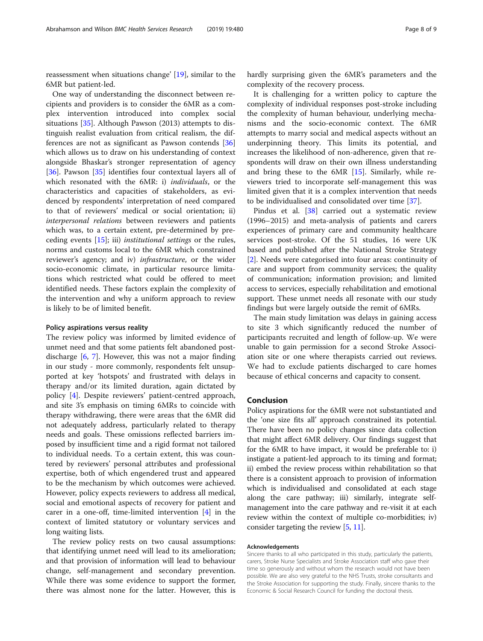reassessment when situations change' [\[19](#page-8-0)], similar to the 6MR but patient-led.

One way of understanding the disconnect between recipients and providers is to consider the 6MR as a complex intervention introduced into complex social situations [\[35](#page-8-0)]. Although Pawson (2013) attempts to distinguish realist evaluation from critical realism, the differences are not as significant as Pawson contends [[36](#page-8-0)] which allows us to draw on his understanding of context alongside Bhaskar's stronger representation of agency [[36\]](#page-8-0). Pawson [[35\]](#page-8-0) identifies four contextual layers all of which resonated with the 6MR: i) *individuals*, or the characteristics and capacities of stakeholders, as evidenced by respondents' interpretation of need compared to that of reviewers' medical or social orientation; ii) interpersonal relations between reviewers and patients which was, to a certain extent, pre-determined by preceding events [[15](#page-8-0)]; iii) institutional settings or the rules, norms and customs local to the 6MR which constrained reviewer's agency; and iv) infrastructure, or the wider socio-economic climate, in particular resource limitations which restricted what could be offered to meet identified needs. These factors explain the complexity of the intervention and why a uniform approach to review is likely to be of limited benefit.

#### Policy aspirations versus reality

The review policy was informed by limited evidence of unmet need and that some patients felt abandoned postdischarge  $[6, 7]$  $[6, 7]$  $[6, 7]$  $[6, 7]$ . However, this was not a major finding in our study - more commonly, respondents felt unsupported at key 'hotspots' and frustrated with delays in therapy and/or its limited duration, again dictated by policy [[4\]](#page-8-0). Despite reviewers' patient-centred approach, and site 3's emphasis on timing 6MRs to coincide with therapy withdrawing, there were areas that the 6MR did not adequately address, particularly related to therapy needs and goals. These omissions reflected barriers imposed by insufficient time and a rigid format not tailored to individual needs. To a certain extent, this was countered by reviewers' personal attributes and professional expertise, both of which engendered trust and appeared to be the mechanism by which outcomes were achieved. However, policy expects reviewers to address all medical, social and emotional aspects of recovery for patient and carer in a one-off, time-limited intervention  $[4]$  $[4]$  in the context of limited statutory or voluntary services and long waiting lists.

The review policy rests on two causal assumptions: that identifying unmet need will lead to its amelioration; and that provision of information will lead to behaviour change, self-management and secondary prevention. While there was some evidence to support the former, there was almost none for the latter. However, this is hardly surprising given the 6MR's parameters and the complexity of the recovery process.

It is challenging for a written policy to capture the complexity of individual responses post-stroke including the complexity of human behaviour, underlying mechanisms and the socio-economic context. The 6MR attempts to marry social and medical aspects without an underpinning theory. This limits its potential, and increases the likelihood of non-adherence, given that respondents will draw on their own illness understanding and bring these to the 6MR [[15\]](#page-8-0). Similarly, while reviewers tried to incorporate self-management this was limited given that it is a complex intervention that needs to be individualised and consolidated over time [[37\]](#page-8-0).

Pindus et al. [\[38\]](#page-8-0) carried out a systematic review (1996–2015) and meta-analysis of patients and carers experiences of primary care and community healthcare services post-stroke. Of the 51 studies, 16 were UK based and published after the National Stroke Strategy [[2\]](#page-8-0). Needs were categorised into four areas: continuity of care and support from community services; the quality of communication; information provision; and limited access to services, especially rehabilitation and emotional support. These unmet needs all resonate with our study findings but were largely outside the remit of 6MRs.

The main study limitation was delays in gaining access to site 3 which significantly reduced the number of participants recruited and length of follow-up. We were unable to gain permission for a second Stroke Association site or one where therapists carried out reviews. We had to exclude patients discharged to care homes because of ethical concerns and capacity to consent.

# Conclusion

Policy aspirations for the 6MR were not substantiated and the 'one size fits all' approach constrained its potential. There have been no policy changes since data collection that might affect 6MR delivery. Our findings suggest that for the 6MR to have impact, it would be preferable to: i) instigate a patient-led approach to its timing and format; ii) embed the review process within rehabilitation so that there is a consistent approach to provision of information which is individualised and consolidated at each stage along the care pathway; iii) similarly, integrate selfmanagement into the care pathway and re-visit it at each review within the context of multiple co-morbidities; iv) consider targeting the review [\[5,](#page-8-0) [11](#page-8-0)].

#### Acknowledgements

Sincere thanks to all who participated in this study, particularly the patients, carers, Stroke Nurse Specialists and Stroke Association staff who gave their time so generously and without whom the research would not have been possible. We are also very grateful to the NHS Trusts, stroke consultants and the Stroke Association for supporting the study. Finally, sincere thanks to the Economic & Social Research Council for funding the doctoral thesis.